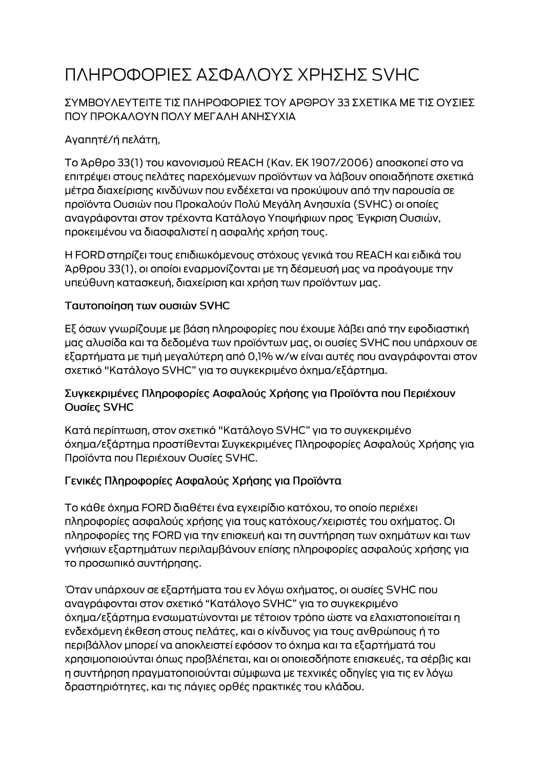# ΠΛΗΡΟΦΟΡΙΕΣ ΑΣΦΑΛΟΥΣ ΧΡΗΣΗΣ SVHC

### ΣΥΜΒΟΥΛΕΥΤΕΙΤΕ ΤΙΣ ΠΛΗΡΟΦΟΡΙΕΣ ΤΟΥ ΑΡΘΡΟΥ 33 ΣΧΕΤΙΚΑ ΜΕ ΤΙΣ ΟΥΣΙΕΣ ΠΟΥ ΠΡΟΚΑΛΟΥΝ ΠΟΛΥ ΜΕΓΑΛΗ ΑΝΗΣΥΧΙΑ

# Αγαπητέ/ή πελάτη,

Το Άρθρο 33(1) του κανονισμού REACH (Καν. ΕΚ 1907/2006) αποσκοπεί στο να επιτρέψει στους πελάτες παρεχόμενων προϊόντων να λάβουν οποιαδήποτε σχετικά μέτρα διαχείρισης κινδύνων που ενδέχεται να προκύψουν από την παρουσία σε προϊόντα Ουσιών που Προκαλούν Πολύ Μεγάλη Ανησυχία (SVHC) οι οποίες αναγράφονται στον τρέχοντα Κατάλογο Υποψήφιων προς Έγκριση Ουσιών, προκειμένου να διασφαλιστεί η ασφαλής χρήση τους.

Η FORD στηρίζει τους επιδιωκόμενους στόχους γενικά του REACH και ειδικά του Άρθρου 33(1), οι οποίοι εναρμονίζονται με τη δέσμευσή μας να προάγουμε την υπεύθυνη κατασκευή, διαχείριση και χρήση των προϊόντων μας.

#### Ταυτοποίηση των ουσιών SVHC

Εξ όσων γνωρίζουμε με βάση πληροφορίες που έχουμε λάβει από την εφοδιαστική μας αλυσίδα και τα δεδομένα των προϊόντων μας, οι ουσίες SVHC που υπάρχουν σε εξαρτήματα με τιμή μεγαλύτερη από 0,1% w/w είναι αυτές που αναγράφονται στον σχετικό "Κατάλογο SVHC" για το συγκεκριμένο όχημα/εξάρτημα.

#### Συγκεκριμένες Πληροφορίες Ασφαλούς Χρήσης για Προϊόντα που Περιέχουν Ουσίες SVHC

Κατά περίπτωση, στον σχετικό "Κατάλογο SVHC" για το συγκεκριμένο όχημα/εξάρτημα προστίθενται Συγκεκριμένες Πληροφορίες Ασφαλούς Χρήσης για Προϊόντα που Περιέχουν Ουσίες SVHC.

## Γενικές Πληροφορίες Ασφαλούς Χρήσης για Προϊόντα

Το κάθε όχημα FORD διαθέτει ένα εγχειρίδιο κατόχου, το οποίο περιέχει πληροφορίες ασφαλούς χρήσης για τους κατόχους/χειριστές του οχήματος. Οι πληροφορίες της FORD για την επισκευή και τη συντήρηση των οχημάτων και των γνήσιων εξαρτημάτων περιλαμβάνουν επίσης πληροφορίες ασφαλούς χρήσης για το προσωπικό συντήρησης.

Όταν υπάρχουν σε εξαρτήματα του εν λόγω οχήματος, οι ουσίες SVHC που αναγράφονται στον σχετικό "Κατάλογο SVHC" για το συγκεκριμένο όχημα/εξάρτημα ενσωματώνονται με τέτοιον τρόπο ώστε να ελαχιστοποιείται η ενδεχόμενη έκθεση στους πελάτες, και ο κίνδυνος για τους ανθρώπους ή το περιβάλλον μπορεί να αποκλειστεί εφόσον το όχημα και τα εξαρτήματά του χρησιμοποιούνται όπως προβλέπεται, και οι οποιεσδήποτε επισκευές, τα σέρβις και η συντήρηση πραγματοποιούνται σύμφωνα με τεχνικές οδηγίες για τις εν λόγω δραστηριότητες, και τις πάγιες ορθές πρακτικές του κλάδου.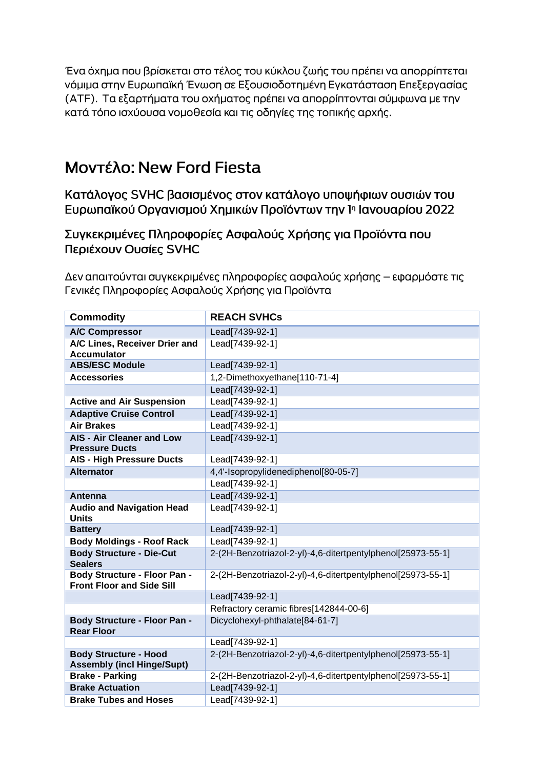Ένα όχημα που βρίσκεται στο τέλος του κύκλου ζωής του πρέπει να απορρίπτεται νόμιμα στην Ευρωπαϊκή Ένωση σε Εξουσιοδοτημένη Εγκατάσταση Επεξεργασίας (ΑΤΕ). Τα εξαρτήματα του οχήματος πρέπει να απορρίπτονται σύμφωνα με την κατά τόπο ισχύουσα νομοθεσία και τις οδηγίες της τοπικής αρχής.

# Μοντέλο: New Ford Fiesta

Κατάλογος SVHC βασισμένος στον κατάλογο υποψήφιων ουσιών του Ευρωπαϊκού Οργανισμού Χημικών Προϊόντων την 1η Ιανουαρίου 2022

Συγκεκριμένες Πληροφορίες Ασφαλούς Χρήσης για Προϊόντα που Περιέχουν Ουσίες SVHC

Δεν απαιτούνται συγκεκριμένες πληροφορίες ασφαλούς χρήσης – εφαρμόστε τις Γενικές Πληροφορίες Ασφαλούς Χρήσης για Προϊόντα

| <b>Commodity</b>                                                        | <b>REACH SVHCs</b>                                          |
|-------------------------------------------------------------------------|-------------------------------------------------------------|
| <b>A/C Compressor</b>                                                   | Lead[7439-92-1]                                             |
| A/C Lines, Receiver Drier and<br><b>Accumulator</b>                     | Lead[7439-92-1]                                             |
| <b>ABS/ESC Module</b>                                                   | Lead[7439-92-1]                                             |
| <b>Accessories</b>                                                      | 1,2-Dimethoxyethane[110-71-4]                               |
|                                                                         | Lead[7439-92-1]                                             |
| <b>Active and Air Suspension</b>                                        | Lead[7439-92-1]                                             |
| <b>Adaptive Cruise Control</b>                                          | Lead[7439-92-1]                                             |
| <b>Air Brakes</b>                                                       | Lead[7439-92-1]                                             |
| <b>AIS - Air Cleaner and Low</b><br><b>Pressure Ducts</b>               | Lead[7439-92-1]                                             |
| <b>AIS - High Pressure Ducts</b>                                        | Lead[7439-92-1]                                             |
| <b>Alternator</b>                                                       | 4,4'-Isopropylidenediphenol[80-05-7]                        |
|                                                                         | Lead[7439-92-1]                                             |
| Antenna                                                                 | Lead[7439-92-1]                                             |
| <b>Audio and Navigation Head</b><br><b>Units</b>                        | Lead[7439-92-1]                                             |
| <b>Battery</b>                                                          | Lead[7439-92-1]                                             |
| <b>Body Moldings - Roof Rack</b>                                        | Lead[7439-92-1]                                             |
| <b>Body Structure - Die-Cut</b><br><b>Sealers</b>                       | 2-(2H-Benzotriazol-2-yl)-4,6-ditertpentylphenol[25973-55-1] |
| <b>Body Structure - Floor Pan -</b><br><b>Front Floor and Side Sill</b> | 2-(2H-Benzotriazol-2-yl)-4,6-ditertpentylphenol[25973-55-1] |
|                                                                         | Lead[7439-92-1]                                             |
|                                                                         | Refractory ceramic fibres[142844-00-6]                      |
| <b>Body Structure - Floor Pan -</b><br><b>Rear Floor</b>                | Dicyclohexyl-phthalate[84-61-7]                             |
|                                                                         | Lead[7439-92-1]                                             |
| <b>Body Structure - Hood</b><br><b>Assembly (incl Hinge/Supt)</b>       | 2-(2H-Benzotriazol-2-yl)-4,6-ditertpentylphenol[25973-55-1] |
| <b>Brake - Parking</b>                                                  | 2-(2H-Benzotriazol-2-yl)-4,6-ditertpentylphenol[25973-55-1] |
| <b>Brake Actuation</b>                                                  | Lead[7439-92-1]                                             |
| <b>Brake Tubes and Hoses</b>                                            | Lead[7439-92-1]                                             |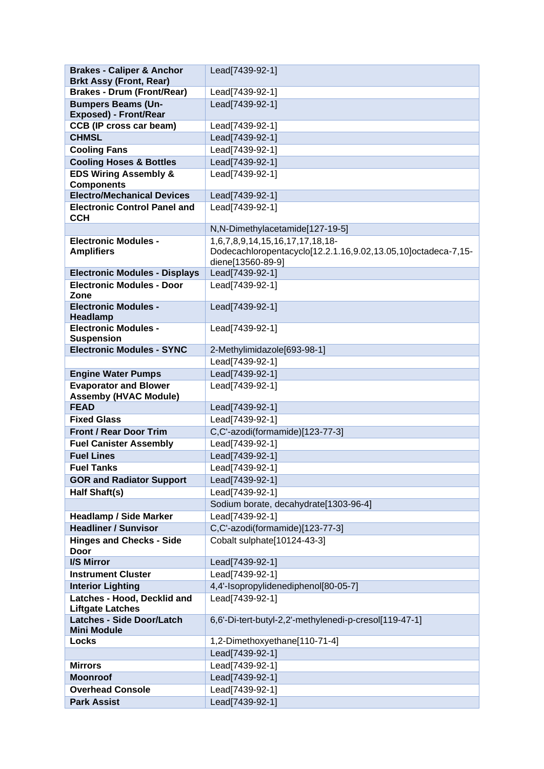| <b>Brakes - Caliper &amp; Anchor</b>                      | Lead[7439-92-1]                                               |
|-----------------------------------------------------------|---------------------------------------------------------------|
| <b>Brkt Assy (Front, Rear)</b>                            |                                                               |
| <b>Brakes - Drum (Front/Rear)</b>                         | Lead[7439-92-1]                                               |
| <b>Bumpers Beams (Un-</b><br><b>Exposed) - Front/Rear</b> | Lead[7439-92-1]                                               |
| <b>CCB (IP cross car beam)</b>                            | Lead[7439-92-1]                                               |
| <b>CHMSL</b>                                              | Lead[7439-92-1]                                               |
| <b>Cooling Fans</b>                                       | Lead[7439-92-1]                                               |
| <b>Cooling Hoses &amp; Bottles</b>                        | Lead[7439-92-1]                                               |
| <b>EDS Wiring Assembly &amp;</b><br><b>Components</b>     | Lead[7439-92-1]                                               |
| <b>Electro/Mechanical Devices</b>                         | Lead[7439-92-1]                                               |
| <b>Electronic Control Panel and</b><br><b>CCH</b>         | Lead[7439-92-1]                                               |
|                                                           | N,N-Dimethylacetamide[127-19-5]                               |
| <b>Electronic Modules -</b>                               | 1,6,7,8,9,14,15,16,17,17,18,18-                               |
| <b>Amplifiers</b>                                         | Dodecachloropentacyclo[12.2.1.16,9.02,13.05,10]octadeca-7,15- |
|                                                           | diene[13560-89-9]                                             |
| <b>Electronic Modules - Displays</b>                      | Lead[7439-92-1]                                               |
| <b>Electronic Modules - Door</b><br>Zone                  | Lead[7439-92-1]                                               |
| <b>Electronic Modules -</b><br>Headlamp                   | Lead[7439-92-1]                                               |
| <b>Electronic Modules -</b>                               | Lead[7439-92-1]                                               |
| <b>Suspension</b><br><b>Electronic Modules - SYNC</b>     |                                                               |
|                                                           | 2-Methylimidazole[693-98-1]                                   |
|                                                           | Lead[7439-92-1]<br>Lead[7439-92-1]                            |
| <b>Engine Water Pumps</b><br><b>Evaporator and Blower</b> | Lead[7439-92-1]                                               |
| <b>Assemby (HVAC Module)</b>                              |                                                               |
| <b>FEAD</b>                                               | Lead[7439-92-1]                                               |
| <b>Fixed Glass</b>                                        | Lead[7439-92-1]                                               |
| <b>Front / Rear Door Trim</b>                             | C,C'-azodi(formamide)[123-77-3]                               |
| <b>Fuel Canister Assembly</b>                             | Lead[7439-92-1]                                               |
| <b>Fuel Lines</b>                                         | Lead[7439-92-1]                                               |
| <b>Fuel Tanks</b>                                         | Lead[7439-92-1]                                               |
| <b>GOR and Radiator Support</b>                           | Lead[7439-92-1]                                               |
| Half Shaft(s)                                             | Lead[7439-92-1]                                               |
|                                                           | Sodium borate, decahydrate[1303-96-4]                         |
| <b>Headlamp / Side Marker</b>                             | Lead[7439-92-1]                                               |
| <b>Headliner / Sunvisor</b>                               | C,C'-azodi(formamide)[123-77-3]                               |
| <b>Hinges and Checks - Side</b><br><b>Door</b>            | Cobalt sulphate[10124-43-3]                                   |
| I/S Mirror                                                | Lead[7439-92-1]                                               |
| <b>Instrument Cluster</b>                                 | Lead[7439-92-1]                                               |
| <b>Interior Lighting</b>                                  | 4,4'-Isopropylidenediphenol[80-05-7]                          |
| Latches - Hood, Decklid and                               | Lead[7439-92-1]                                               |
| <b>Liftgate Latches</b>                                   |                                                               |
| <b>Latches - Side Door/Latch</b><br><b>Mini Module</b>    | 6,6'-Di-tert-butyl-2,2'-methylenedi-p-cresol[119-47-1]        |
| Locks                                                     | 1,2-Dimethoxyethane[110-71-4]                                 |
|                                                           | Lead[7439-92-1]                                               |
| <b>Mirrors</b>                                            | Lead[7439-92-1]                                               |
| <b>Moonroof</b>                                           | Lead[7439-92-1]                                               |
| <b>Overhead Console</b>                                   | Lead[7439-92-1]                                               |
| <b>Park Assist</b>                                        | Lead[7439-92-1]                                               |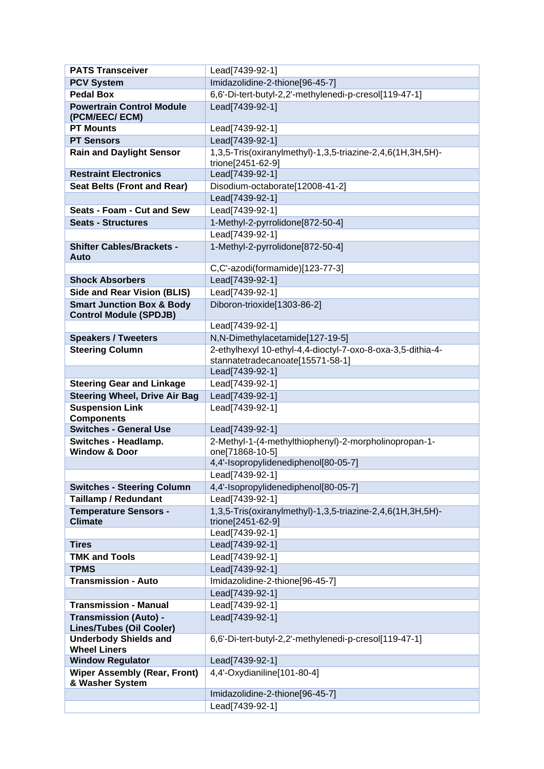| <b>PATS Transceiver</b>                                               | Lead[7439-92-1]                                                                                 |
|-----------------------------------------------------------------------|-------------------------------------------------------------------------------------------------|
| <b>PCV System</b>                                                     | Imidazolidine-2-thione[96-45-7]                                                                 |
| <b>Pedal Box</b>                                                      | 6,6'-Di-tert-butyl-2,2'-methylenedi-p-cresol[119-47-1]                                          |
| <b>Powertrain Control Module</b><br>(PCM/EEC/ECM)                     | Lead[7439-92-1]                                                                                 |
| <b>PT Mounts</b>                                                      | Lead[7439-92-1]                                                                                 |
| <b>PT Sensors</b>                                                     | Lead[7439-92-1]                                                                                 |
| <b>Rain and Daylight Sensor</b>                                       | 1,3,5-Tris(oxiranylmethyl)-1,3,5-triazine-2,4,6(1H,3H,5H)-<br>trione[2451-62-9]                 |
| <b>Restraint Electronics</b>                                          | Lead[7439-92-1]                                                                                 |
| <b>Seat Belts (Front and Rear)</b>                                    | Disodium-octaborate[12008-41-2]                                                                 |
|                                                                       | Lead[7439-92-1]                                                                                 |
| Seats - Foam - Cut and Sew                                            | Lead[7439-92-1]                                                                                 |
| <b>Seats - Structures</b>                                             | 1-Methyl-2-pyrrolidone[872-50-4]                                                                |
|                                                                       | Lead[7439-92-1]                                                                                 |
| <b>Shifter Cables/Brackets -</b><br>Auto                              | 1-Methyl-2-pyrrolidone[872-50-4]                                                                |
|                                                                       | C,C'-azodi(formamide)[123-77-3]                                                                 |
| <b>Shock Absorbers</b>                                                | Lead[7439-92-1]                                                                                 |
| <b>Side and Rear Vision (BLIS)</b>                                    | Lead[7439-92-1]                                                                                 |
| <b>Smart Junction Box &amp; Body</b><br><b>Control Module (SPDJB)</b> | Diboron-trioxide[1303-86-2]                                                                     |
|                                                                       | Lead[7439-92-1]                                                                                 |
| <b>Speakers / Tweeters</b>                                            | N,N-Dimethylacetamide[127-19-5]                                                                 |
| <b>Steering Column</b>                                                | 2-ethylhexyl 10-ethyl-4,4-dioctyl-7-oxo-8-oxa-3,5-dithia-4-<br>stannatetradecanoate[15571-58-1] |
|                                                                       | Lead[7439-92-1]                                                                                 |
| <b>Steering Gear and Linkage</b>                                      | Lead[7439-92-1]                                                                                 |
| <b>Steering Wheel, Drive Air Bag</b>                                  | Lead[7439-92-1]                                                                                 |
| <b>Suspension Link</b><br><b>Components</b>                           | Lead[7439-92-1]                                                                                 |
| <b>Switches - General Use</b>                                         | Lead[7439-92-1]                                                                                 |
| Switches - Headlamp.<br><b>Window &amp; Door</b>                      | 2-Methyl-1-(4-methylthiophenyl)-2-morpholinopropan-1-<br>one[71868-10-5]                        |
|                                                                       | 4,4'-Isopropylidenediphenol[80-05-7]                                                            |
|                                                                       | Lead[7439-92-1]                                                                                 |
| <b>Switches - Steering Column</b>                                     | 4,4'-Isopropylidenediphenol[80-05-7]                                                            |
| <b>Taillamp / Redundant</b>                                           | Lead[7439-92-1]                                                                                 |
| <b>Temperature Sensors -</b><br><b>Climate</b>                        | 1,3,5-Tris(oxiranylmethyl)-1,3,5-triazine-2,4,6(1H,3H,5H)-<br>trione[2451-62-9]                 |
|                                                                       | Lead[7439-92-1]                                                                                 |
| <b>Tires</b>                                                          | Lead[7439-92-1]                                                                                 |
| <b>TMK and Tools</b>                                                  | Lead[7439-92-1]                                                                                 |
| <b>TPMS</b>                                                           | Lead[7439-92-1]                                                                                 |
| <b>Transmission - Auto</b>                                            | Imidazolidine-2-thione[96-45-7]                                                                 |
|                                                                       | Lead[7439-92-1]                                                                                 |
| <b>Transmission - Manual</b>                                          | Lead[7439-92-1]                                                                                 |
| <b>Transmission (Auto) -</b><br><b>Lines/Tubes (Oil Cooler)</b>       | Lead[7439-92-1]                                                                                 |
| <b>Underbody Shields and</b><br><b>Wheel Liners</b>                   | 6,6'-Di-tert-butyl-2,2'-methylenedi-p-cresol[119-47-1]                                          |
| <b>Window Regulator</b>                                               | Lead[7439-92-1]                                                                                 |
| <b>Wiper Assembly (Rear, Front)</b><br>& Washer System                | 4,4'-Oxydianiline[101-80-4]                                                                     |
|                                                                       | Imidazolidine-2-thione[96-45-7]                                                                 |
|                                                                       | Lead[7439-92-1]                                                                                 |